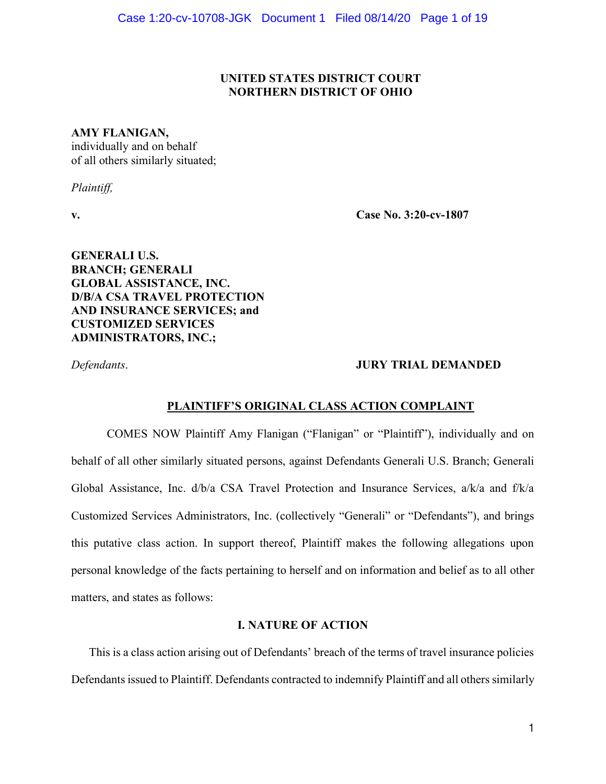## **UNITED STATES DISTRICT COURT NORTHERN DISTRICT OF OHIO**

## **AMY FLANIGAN,**

individually and on behalf of all others similarly situated;

*Plaintiff,*

**v. Case No. 3:20-cv-1807**

**GENERALI U.S. BRANCH; GENERALI GLOBAL ASSISTANCE, INC. D/B/A CSA TRAVEL PROTECTION AND INSURANCE SERVICES; and CUSTOMIZED SERVICES ADMINISTRATORS, INC.;** 

## *Defendants*. **JURY TRIAL DEMANDED**

## **PLAINTIFF'S ORIGINAL CLASS ACTION COMPLAINT**

COMES NOW Plaintiff Amy Flanigan ("Flanigan" or "Plaintiff"), individually and on behalf of all other similarly situated persons, against Defendants Generali U.S. Branch; Generali Global Assistance, Inc. d/b/a CSA Travel Protection and Insurance Services, a/k/a and f/k/a Customized Services Administrators, Inc. (collectively "Generali" or "Defendants"), and brings this putative class action. In support thereof, Plaintiff makes the following allegations upon personal knowledge of the facts pertaining to herself and on information and belief as to all other matters, and states as follows:

## **I. NATURE OF ACTION**

This is a class action arising out of Defendants' breach of the terms of travel insurance policies Defendants issued to Plaintiff. Defendants contracted to indemnify Plaintiff and all others similarly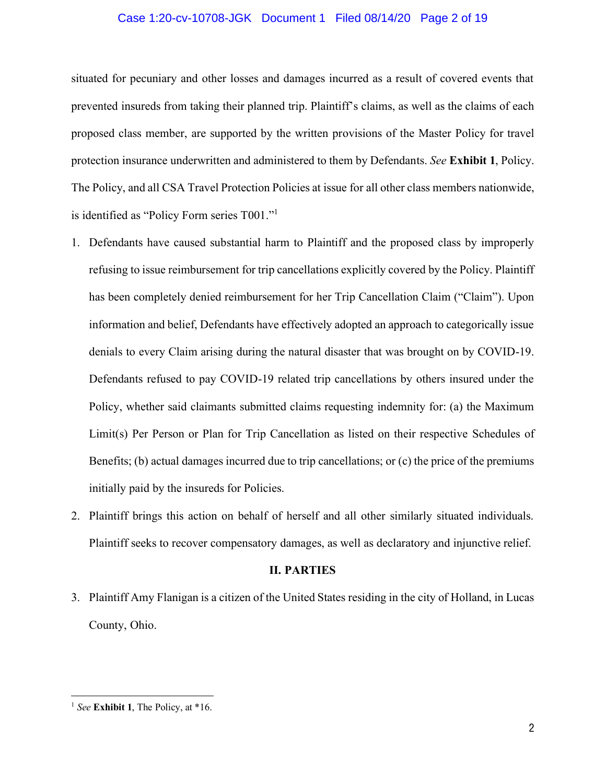## Case 1:20-cv-10708-JGK Document 1 Filed 08/14/20 Page 2 of 19

situated for pecuniary and other losses and damages incurred as a result of covered events that prevented insureds from taking their planned trip. Plaintiff's claims, as well as the claims of each proposed class member, are supported by the written provisions of the Master Policy for travel protection insurance underwritten and administered to them by Defendants. *See* **Exhibit 1**, Policy. The Policy, and all CSA Travel Protection Policies at issue for all other class members nationwide, is identified as "Policy Form series T001."1

- 1. Defendants have caused substantial harm to Plaintiff and the proposed class by improperly refusing to issue reimbursement for trip cancellations explicitly covered by the Policy. Plaintiff has been completely denied reimbursement for her Trip Cancellation Claim ("Claim"). Upon information and belief, Defendants have effectively adopted an approach to categorically issue denials to every Claim arising during the natural disaster that was brought on by COVID-19. Defendants refused to pay COVID-19 related trip cancellations by others insured under the Policy, whether said claimants submitted claims requesting indemnity for: (a) the Maximum Limit(s) Per Person or Plan for Trip Cancellation as listed on their respective Schedules of Benefits; (b) actual damages incurred due to trip cancellations; or (c) the price of the premiums initially paid by the insureds for Policies.
- 2. Plaintiff brings this action on behalf of herself and all other similarly situated individuals. Plaintiff seeks to recover compensatory damages, as well as declaratory and injunctive relief.

#### **II. PARTIES**

3. Plaintiff Amy Flanigan is a citizen of the United States residing in the city of Holland, in Lucas County, Ohio.

<sup>1</sup> *See* **Exhibit 1**, The Policy, at \*16.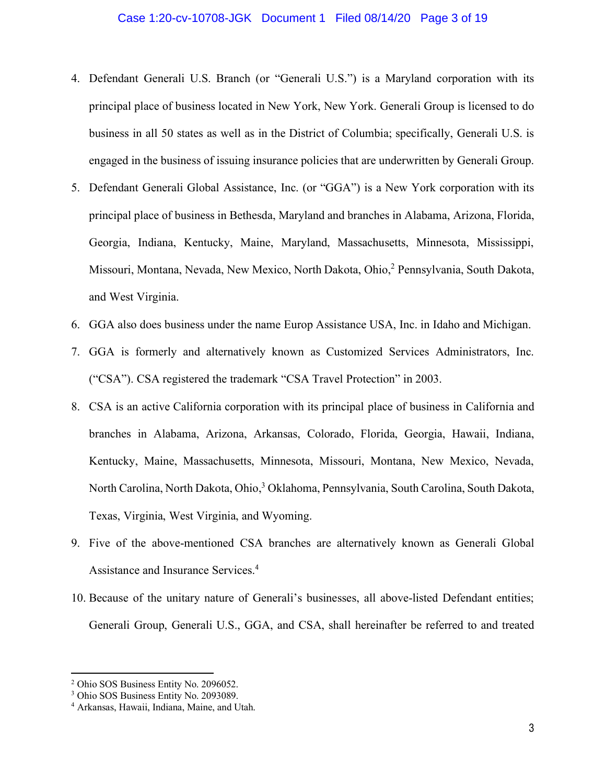## Case 1:20-cv-10708-JGK Document 1 Filed 08/14/20 Page 3 of 19

- 4. Defendant Generali U.S. Branch (or "Generali U.S.") is a Maryland corporation with its principal place of business located in New York, New York. Generali Group is licensed to do business in all 50 states as well as in the District of Columbia; specifically, Generali U.S. is engaged in the business of issuing insurance policies that are underwritten by Generali Group.
- 5. Defendant Generali Global Assistance, Inc. (or "GGA") is a New York corporation with its principal place of business in Bethesda, Maryland and branches in Alabama, Arizona, Florida, Georgia, Indiana, Kentucky, Maine, Maryland, Massachusetts, Minnesota, Mississippi, Missouri, Montana, Nevada, New Mexico, North Dakota, Ohio,<sup>2</sup> Pennsylvania, South Dakota, and West Virginia.
- 6. GGA also does business under the name Europ Assistance USA, Inc. in Idaho and Michigan.
- 7. GGA is formerly and alternatively known as Customized Services Administrators, Inc. ("CSA"). CSA registered the trademark "CSA Travel Protection" in 2003.
- 8. CSA is an active California corporation with its principal place of business in California and branches in Alabama, Arizona, Arkansas, Colorado, Florida, Georgia, Hawaii, Indiana, Kentucky, Maine, Massachusetts, Minnesota, Missouri, Montana, New Mexico, Nevada, North Carolina, North Dakota, Ohio, <sup>3</sup> Oklahoma, Pennsylvania, South Carolina, South Dakota, Texas, Virginia, West Virginia, and Wyoming.
- 9. Five of the above-mentioned CSA branches are alternatively known as Generali Global Assistance and Insurance Services.<sup>4</sup>
- 10. Because of the unitary nature of Generali's businesses, all above-listed Defendant entities; Generali Group, Generali U.S., GGA, and CSA, shall hereinafter be referred to and treated

<sup>2</sup> Ohio SOS Business Entity No. 2096052.

<sup>3</sup> Ohio SOS Business Entity No. 2093089.

<sup>4</sup> Arkansas, Hawaii, Indiana, Maine, and Utah.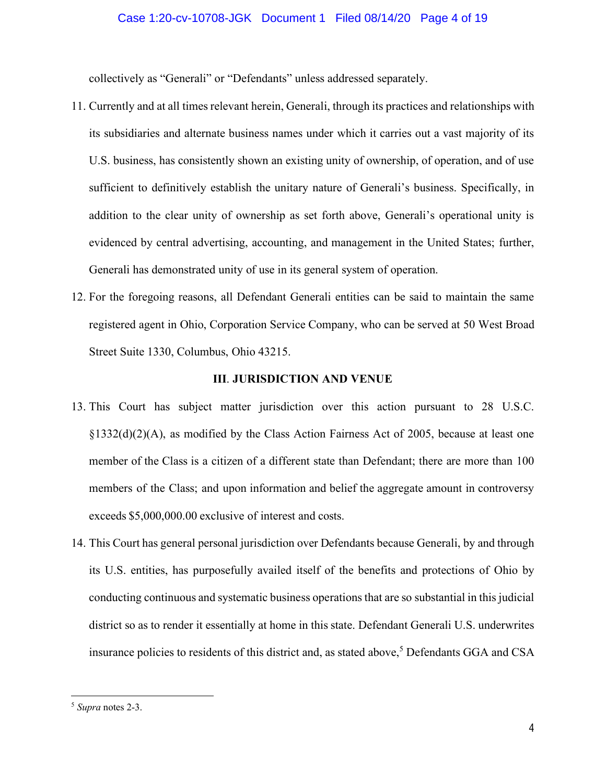### Case 1:20-cv-10708-JGK Document 1 Filed 08/14/20 Page 4 of 19

collectively as "Generali" or "Defendants" unless addressed separately.

- 11. Currently and at all times relevant herein, Generali, through its practices and relationships with its subsidiaries and alternate business names under which it carries out a vast majority of its U.S. business, has consistently shown an existing unity of ownership, of operation, and of use sufficient to definitively establish the unitary nature of Generali's business. Specifically, in addition to the clear unity of ownership as set forth above, Generali's operational unity is evidenced by central advertising, accounting, and management in the United States; further, Generali has demonstrated unity of use in its general system of operation.
- 12. For the foregoing reasons, all Defendant Generali entities can be said to maintain the same registered agent in Ohio, Corporation Service Company, who can be served at 50 West Broad Street Suite 1330, Columbus, Ohio 43215.

## **III**. **JURISDICTION AND VENUE**

- 13. This Court has subject matter jurisdiction over this action pursuant to 28 U.S.C. §1332(d)(2)(A), as modified by the Class Action Fairness Act of 2005, because at least one member of the Class is a citizen of a different state than Defendant; there are more than 100 members of the Class; and upon information and belief the aggregate amount in controversy exceeds \$5,000,000.00 exclusive of interest and costs.
- 14. This Court has general personal jurisdiction over Defendants because Generali, by and through its U.S. entities, has purposefully availed itself of the benefits and protections of Ohio by conducting continuous and systematic business operations that are so substantial in this judicial district so as to render it essentially at home in this state. Defendant Generali U.S. underwrites insurance policies to residents of this district and, as stated above,<sup>5</sup> Defendants GGA and CSA

<sup>5</sup> *Supra* notes 2-3.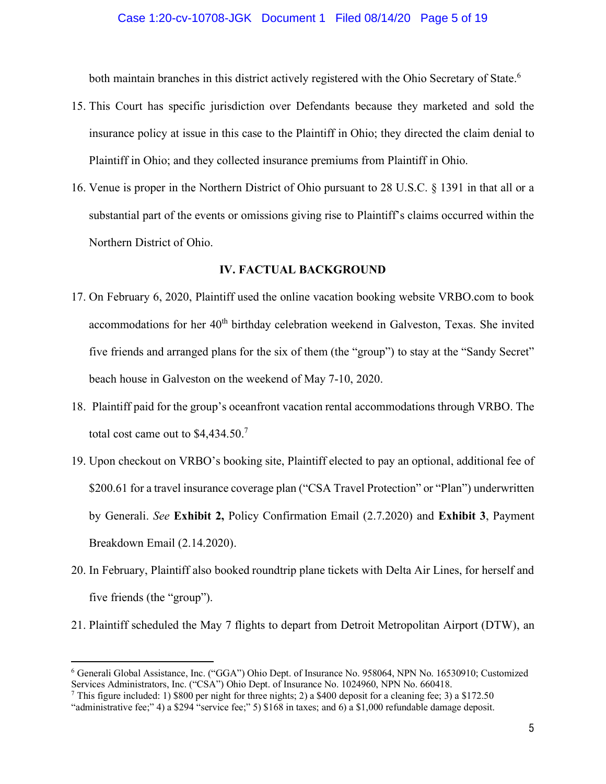both maintain branches in this district actively registered with the Ohio Secretary of State.<sup>6</sup>

- 15. This Court has specific jurisdiction over Defendants because they marketed and sold the insurance policy at issue in this case to the Plaintiff in Ohio; they directed the claim denial to Plaintiff in Ohio; and they collected insurance premiums from Plaintiff in Ohio.
- 16. Venue is proper in the Northern District of Ohio pursuant to 28 U.S.C. § 1391 in that all or a substantial part of the events or omissions giving rise to Plaintiff's claims occurred within the Northern District of Ohio.

## **IV. FACTUAL BACKGROUND**

- 17. On February 6, 2020, Plaintiff used the online vacation booking website VRBO.com to book accommodations for her 40<sup>th</sup> birthday celebration weekend in Galveston, Texas. She invited five friends and arranged plans for the six of them (the "group") to stay at the "Sandy Secret" beach house in Galveston on the weekend of May 7-10, 2020.
- 18. Plaintiff paid for the group's oceanfront vacation rental accommodations through VRBO. The total cost came out to \$4,434.50. 7
- 19. Upon checkout on VRBO's booking site, Plaintiff elected to pay an optional, additional fee of \$200.61 for a travel insurance coverage plan ("CSA Travel Protection" or "Plan") underwritten by Generali. *See* **Exhibit 2,** Policy Confirmation Email (2.7.2020) and **Exhibit 3**, Payment Breakdown Email (2.14.2020).
- 20. In February, Plaintiff also booked roundtrip plane tickets with Delta Air Lines, for herself and five friends (the "group").
- 21. Plaintiff scheduled the May 7 flights to depart from Detroit Metropolitan Airport (DTW), an

<sup>6</sup> Generali Global Assistance, Inc. ("GGA") Ohio Dept. of Insurance No. 958064, NPN No. 16530910; Customized Services Administrators, Inc. ("CSA") Ohio Dept. of Insurance No. 1024960, NPN No. 660418.

<sup>&</sup>lt;sup>7</sup> This figure included: 1) \$800 per night for three nights; 2) a \$400 deposit for a cleaning fee; 3) a \$172.50

<sup>&</sup>quot;administrative fee;" 4) a \$294 "service fee;" 5) \$168 in taxes; and 6) a \$1,000 refundable damage deposit.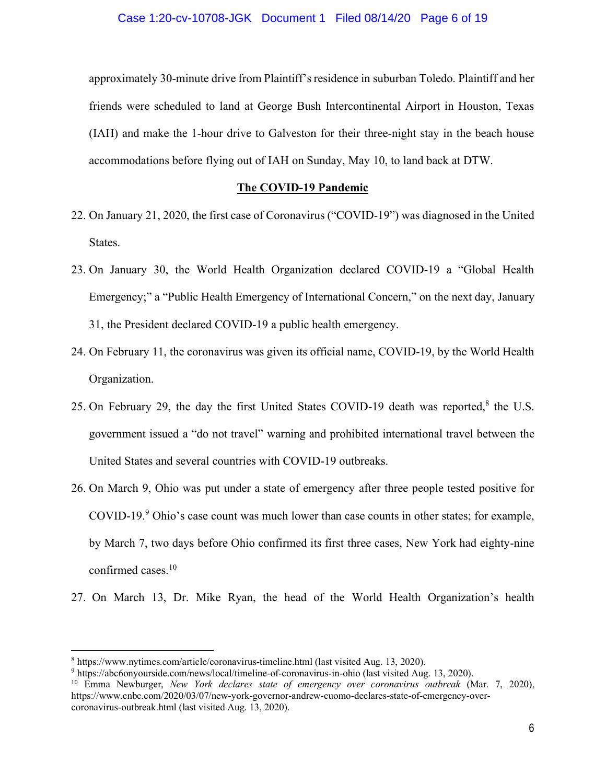approximately 30-minute drive from Plaintiff's residence in suburban Toledo. Plaintiff and her friends were scheduled to land at George Bush Intercontinental Airport in Houston, Texas (IAH) and make the 1-hour drive to Galveston for their three-night stay in the beach house accommodations before flying out of IAH on Sunday, May 10, to land back at DTW.

## **The COVID-19 Pandemic**

- 22. On January 21, 2020, the first case of Coronavirus ("COVID-19") was diagnosed in the United States.
- 23. On January 30, the World Health Organization declared COVID-19 a "Global Health Emergency;" a "Public Health Emergency of International Concern," on the next day, January 31, the President declared COVID-19 a public health emergency.
- 24. On February 11, the coronavirus was given its official name, COVID-19, by the World Health Organization.
- 25. On February 29, the day the first United States COVID-19 death was reported, $8$  the U.S. government issued a "do not travel" warning and prohibited international travel between the United States and several countries with COVID-19 outbreaks.
- 26. On March 9, Ohio was put under a state of emergency after three people tested positive for COVID-19.<sup>9</sup> Ohio's case count was much lower than case counts in other states; for example, by March 7, two days before Ohio confirmed its first three cases, New York had eighty-nine confirmed cases.<sup>10</sup>
- 27. On March 13, Dr. Mike Ryan, the head of the World Health Organization's health

<sup>8</sup> <https://www.nytimes.com/article/coronavirus-timeline.html>(last visited Aug. 13, 2020).

<sup>9</sup> <https://abc6onyourside.com/news/local/timeline-of-coronavirus-in-ohio> (last visited Aug. 13, 2020).

<sup>10</sup> Emma Newburger, *New York declares state of emergency over coronavirus outbreak* (Mar. 7, 2020), [https://www.cnbc.com/2020/03/07/new-york-governor-andrew-cuomo-declares-state-of-emergency-over](https://www.cnbc.com/2020/03/07/new-york-governor-andrew-cuomo-declares-state-of-emergency-over-)coronavirus-outbreak.html (last visited Aug. 13, 2020).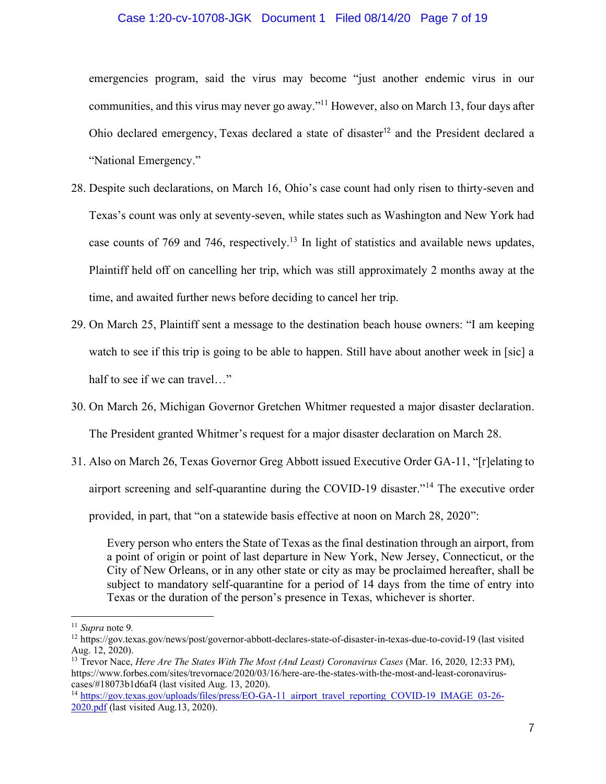## Case 1:20-cv-10708-JGK Document 1 Filed 08/14/20 Page 7 of 19

emergencies program, said the virus may become "just another endemic virus in our communities, and this virus may never go away."11 However, also on March 13, four days after Ohio declared emergency, Texas declared a state of disaster<sup>12</sup> and the President declared a "National Emergency."

- 28. Despite such declarations, on March 16, Ohio's case count had only risen to thirty-seven and Texas's count was only at seventy-seven, while states such as Washington and New York had case counts of 769 and 746, respectively.<sup>13</sup> In light of statistics and available news updates, Plaintiff held off on cancelling her trip, which was still approximately 2 months away at the time, and awaited further news before deciding to cancel her trip.
- 29. On March 25, Plaintiff sent a message to the destination beach house owners: "I am keeping watch to see if this trip is going to be able to happen. Still have about another week in [sic] a half to see if we can travel..."
- 30. On March 26, Michigan Governor Gretchen Whitmer requested a major disaster declaration. The President granted Whitmer's request for a major disaster declaration on March 28.
- 31. Also on March 26, Texas Governor Greg Abbott issued Executive Order GA-11, "[r]elating to airport screening and self-quarantine during the COVID-19 disaster."<sup>14</sup> The executive order provided, in part, that "on a statewide basis effective at noon on March 28, 2020":

Every person who enters the State of Texas as the final destination through an airport, from a point of origin or point of last departure in New York, New Jersey, Connecticut, or the City of New Orleans, or in any other state or city as may be proclaimed hereafter, shall be subject to mandatory self-quarantine for a period of 14 days from the time of entry into Texas or the duration of the person's presence in Texas, whichever is shorter.

<sup>11</sup> *Supra* note 9*.* 

<sup>12</sup> <https://gov.texas.gov/news/post/governor-abbott-declares-state-of-disaster-in-texas-due-to-covid-19>(last visited Aug. 12, 2020).

<sup>13</sup> Trevor Nace, *Here Are The States With The Most (And Least) Coronavirus Cases* (Mar. 16, 2020, 12:33 PM), [https://www.forbes.com/sites/trevornace/2020/03/16/here-are-the-states-with-the-most-and-least-coronavirus](https://www.forbes.com/sites/trevornace/2020/03/16/here-are-the-states-with-the-most-and-least-coronavirus-)cases/#18073b1d6af4 (last visited Aug. 13, 2020).

<sup>&</sup>lt;sup>14</sup> [https://gov.texas.gov/uploads/files/press/EO-GA-11\\_airport\\_travel\\_reporting\\_COVID-19\\_IMAGE\\_03-26-](https://gov.texas.gov/uploads/files/press/EO-GA-11_airport_travel_reporting_COVID-19_IMAGE_03-26-) 2020.pdf (last visited Aug.13, 2020).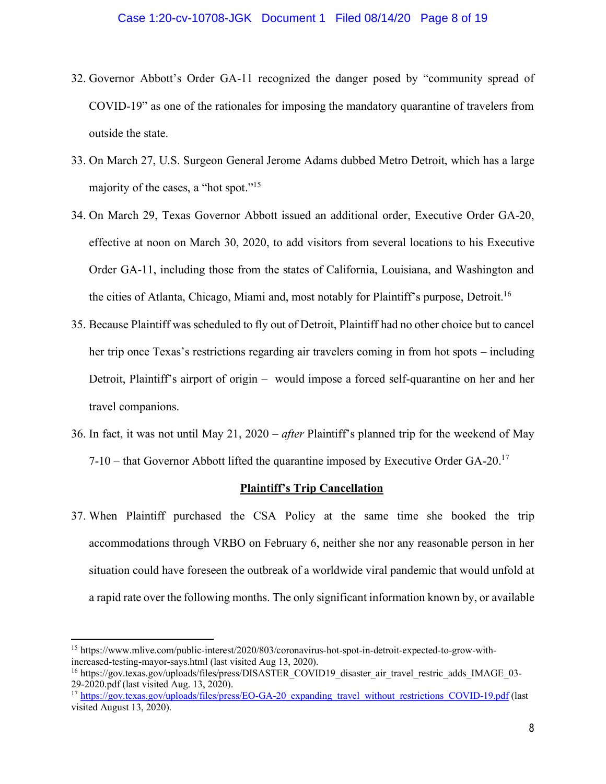- 32. Governor Abbott's Order GA-11 recognized the danger posed by "community spread of COVID-19" as one of the rationales for imposing the mandatory quarantine of travelers from outside the state.
- 33. On March 27, U.S. Surgeon General Jerome Adams dubbed Metro Detroit, which has a large majority of the cases, a "hot spot."<sup>15</sup>
- 34. On March 29, Texas Governor Abbott issued an additional order, Executive Order GA-20, effective at noon on March 30, 2020, to add visitors from several locations to his Executive Order GA-11, including those from the states of California, Louisiana, and Washington and the cities of Atlanta, Chicago, Miami and, most notably for Plaintiff's purpose, Detroit.<sup>16</sup>
- 35. Because Plaintiff was scheduled to fly out of Detroit, Plaintiff had no other choice but to cancel her trip once Texas's restrictions regarding air travelers coming in from hot spots – including Detroit, Plaintiff's airport of origin – would impose a forced self-quarantine on her and her travel companions.
- 36. In fact, it was not until May 21, 2020 *after* Plaintiff's planned trip for the weekend of May  $7-10$  – that Governor Abbott lifted the quarantine imposed by Executive Order GA-20.<sup>17</sup>

#### **Plaintiff's Trip Cancellation**

37. When Plaintiff purchased the CSA Policy at the same time she booked the trip accommodations through VRBO on February 6, neither she nor any reasonable person in her situation could have foreseen the outbreak of a worldwide viral pandemic that would unfold at a rapid rate over the following months. The only significant information known by, or available

<sup>15</sup> [https://www.mlive.com/public-interest/2020/803/coronavirus-hot-spot-in-detroit-expected-to-grow-with](https://www.mlive.com/public-interest/2020/803/coronavirus-hot-spot-in-detroit-expected-to-grow-with-)increased-testing-mayor-says.html (last visited Aug 13, 2020).

<sup>&</sup>lt;sup>16</sup> [https://gov.texas.gov/uploads/files/press/DISASTER\\_COVID19\\_disaster\\_air\\_travel\\_restric\\_adds\\_IMAGE\\_03-](https://gov.texas.gov/uploads/files/press/DISASTER_COVID19_disaster_air_travel_restric_adds_IMAGE_03-) 29-2020.pdf (last visited Aug. 13, 2020).

<sup>&</sup>lt;sup>17</sup> [https://gov.texas.gov/uploads/files/press/EO-GA-20\\_expanding\\_travel\\_without\\_restrictions\\_COVID-19.pdf](https://gov.texas.gov/uploads/files/press/EO-GA-20_expanding_travel_without_restrictions_COVID-19.pdf) (last visited August 13, 2020).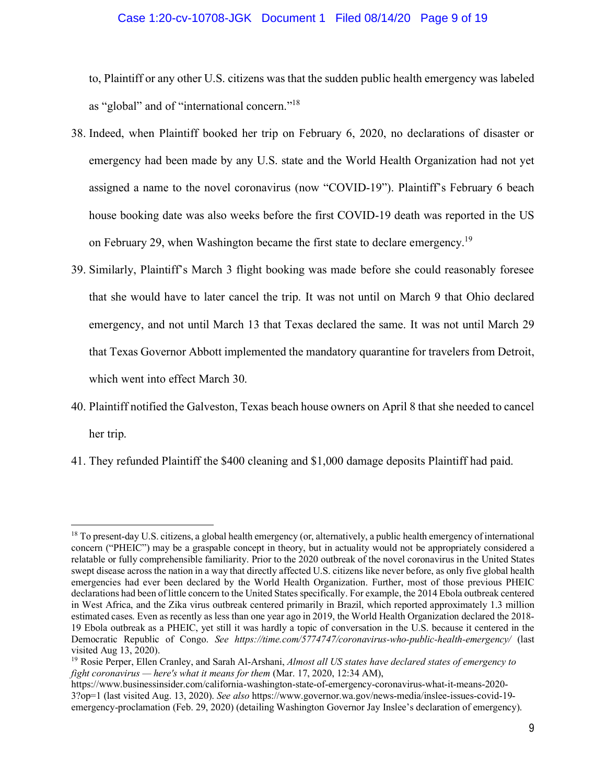## Case 1:20-cv-10708-JGK Document 1 Filed 08/14/20 Page 9 of 19

to, Plaintiff or any other U.S. citizens was that the sudden public health emergency was labeled as "global" and of "international concern."18

- 38. Indeed, when Plaintiff booked her trip on February 6, 2020, no declarations of disaster or emergency had been made by any U.S. state and the World Health Organization had not yet assigned a name to the novel coronavirus (now "COVID-19"). Plaintiff's February 6 beach house booking date was also weeks before the first COVID-19 death was reported in the US on February 29, when Washington became the first state to declare emergency.<sup>19</sup>
- 39. Similarly, Plaintiff's March 3 flight booking was made before she could reasonably foresee that she would have to later cancel the trip. It was not until on March 9 that Ohio declared emergency, and not until March 13 that Texas declared the same. It was not until March 29 that Texas Governor Abbott implemented the mandatory quarantine for travelers from Detroit, which went into effect March 30.
- 40. Plaintiff notified the Galveston, Texas beach house owners on April 8 that she needed to cancel her trip.
- 41. They refunded Plaintiff the \$400 cleaning and \$1,000 damage deposits Plaintiff had paid.

<sup>&</sup>lt;sup>18</sup> To present-day U.S. citizens, a global health emergency (or, alternatively, a public health emergency of international concern ("PHEIC") may be a graspable concept in theory, but in actuality would not be appropriately considered a relatable or fully comprehensible familiarity. Prior to the 2020 outbreak of the novel coronavirus in the United States swept disease across the nation in a way that directly affected U.S. citizens like never before, as only five global health emergencies had ever been declared by the World Health Organization. Further, most of those previous PHEIC declarations had been of little concern to the United States specifically. For example, the 2014 Ebola outbreak centered in West Africa, and the Zika virus outbreak centered primarily in Brazil, which reported approximately 1.3 million estimated cases. Even as recently as less than one year ago in 2019, the World Health Organization declared the 2018- 19 Ebola outbreak as a PHEIC, yet still it was hardly a topic of conversation in the U.S. because it centered in the Democratic Republic of Congo. *See <https://time.com/5774747/coronavirus-who-public-health-emergency/>*(last visited Aug 13, 2020).<br><sup>19</sup> Rosie Perper, Ellen Cranley, and Sarah Al-Arshani, *Almost all US states have declared states of emergency to* 

*fight coronavirus — here's what it means for them* (Mar. 17, 2020, 12:34 AM),

<https://www.businessinsider.com/california-washington-state-of-emergency-coronavirus-what-it-means-2020-> 3?op=1 (last visited Aug. 13, 2020). *See also* [https://www.governor.wa.gov/news-media/inslee-issues-covid-19](https://www.governor.wa.gov/news-media/inslee-issues-covid-19-) emergency-proclamation (Feb. 29, 2020) (detailing Washington Governor Jay Inslee's declaration of emergency).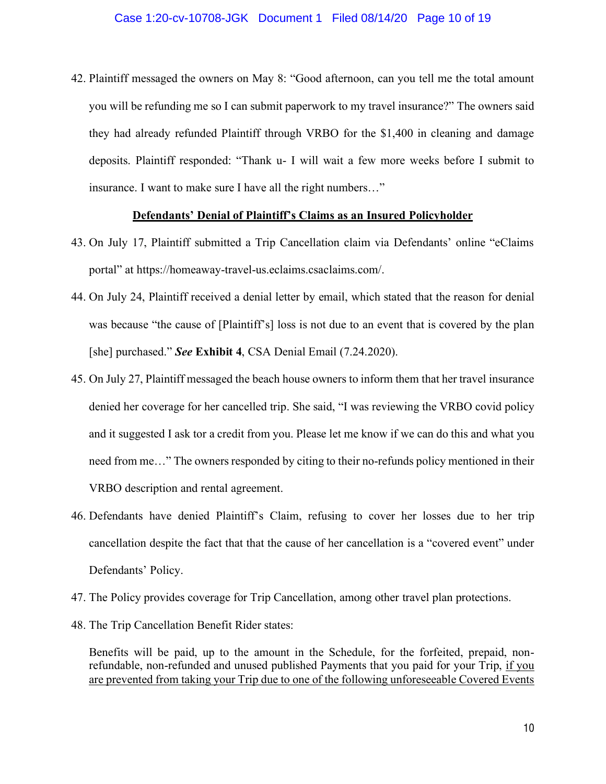42. Plaintiff messaged the owners on May 8: "Good afternoon, can you tell me the total amount you will be refunding me so I can submit paperwork to my travel insurance?" The owners said they had already refunded Plaintiff through VRBO for the \$1,400 in cleaning and damage deposits. Plaintiff responded: "Thank u- I will wait a few more weeks before I submit to insurance. I want to make sure I have all the right numbers…"

## **Defendants' Denial of Plaintiff's Claims as an Insured Policyholder**

- 43. On July 17, Plaintiff submitted a Trip Cancellation claim via Defendants' online "eClaims portal" at<https://homeaway-travel-us.eclaims.csaclaims.com/.>
- 44. On July 24, Plaintiff received a denial letter by email, which stated that the reason for denial was because "the cause of [Plaintiff's] loss is not due to an event that is covered by the plan [she] purchased." *See* **Exhibit 4**, CSA Denial Email (7.24.2020).
- 45. On July 27, Plaintiff messaged the beach house owners to inform them that her travel insurance denied her coverage for her cancelled trip. She said, "I was reviewing the VRBO covid policy and it suggested I ask tor a credit from you. Please let me know if we can do this and what you need from me…" The owners responded by citing to their no-refunds policy mentioned in their VRBO description and rental agreement.
- 46. Defendants have denied Plaintiff's Claim, refusing to cover her losses due to her trip cancellation despite the fact that that the cause of her cancellation is a "covered event" under Defendants' Policy.
- 47. The Policy provides coverage for Trip Cancellation, among other travel plan protections.
- 48. The Trip Cancellation Benefit Rider states:

Benefits will be paid, up to the amount in the Schedule, for the forfeited, prepaid, nonrefundable, non-refunded and unused published Payments that you paid for your Trip, if you are prevented from taking your Trip due to one of the following unforeseeable Covered Events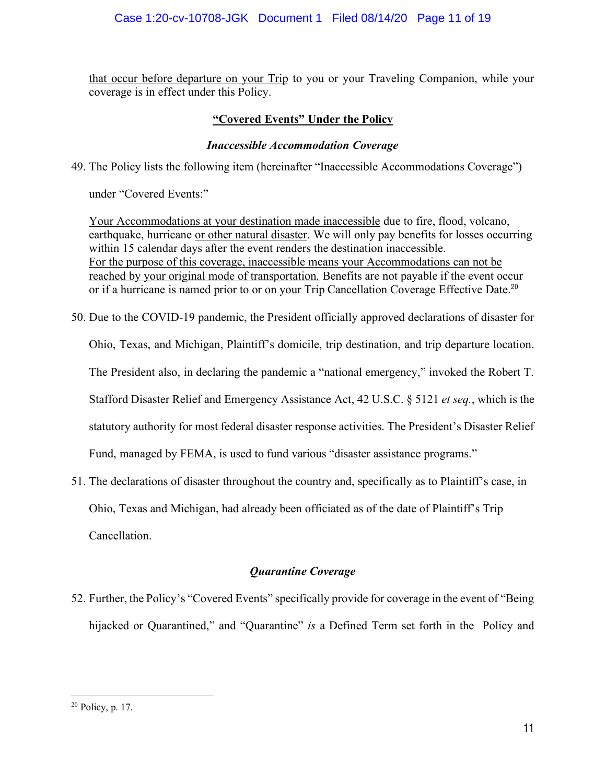that occur before departure on your Trip to you or your Traveling Companion, while your coverage is in effect under this Policy.

# **"Covered Events" Under the Policy**

## *Inaccessible Accommodation Coverage*

49. The Policy lists the following item (hereinafter "Inaccessible Accommodations Coverage")

under "Covered Events:"

Your Accommodations at your destination made inaccessible due to fire, flood, volcano, earthquake, hurricane or other natural disaster. We will only pay benefits for losses occurring within 15 calendar days after the event renders the destination inaccessible. For the purpose of this coverage, inaccessible means your Accommodations can not be reached by your original mode of transportation. Benefits are not payable if the event occur or if a hurricane is named prior to or on your Trip Cancellation Coverage Effective Date.<sup>20</sup>

- 50. Due to the COVID-19 pandemic, the President officially approved declarations of disaster for Ohio, Texas, and Michigan, Plaintiff's domicile, trip destination, and trip departure location. The President also, in declaring the pandemic a "national emergency," invoked the Robert T. Stafford Disaster Relief and Emergency Assistance Act, 42 U.S.C. § 5121 *et seq.*, which is the statutory authority for most federal disaster response activities. The President's Disaster Relief Fund, managed by FEMA, is used to fund various "disaster assistance programs."
- 51. The declarations of disaster throughout the country and, specifically as to Plaintiff's case, in Ohio, Texas and Michigan, had already been officiated as of the date of Plaintiff's Trip Cancellation.

# *Quarantine Coverage*

52. Further, the Policy's "Covered Events" specifically provide for coverage in the event of "Being hijacked or Quarantined," and "Quarantine" *is* a Defined Term set forth in the Policy and

<sup>20</sup> Policy, p. 17.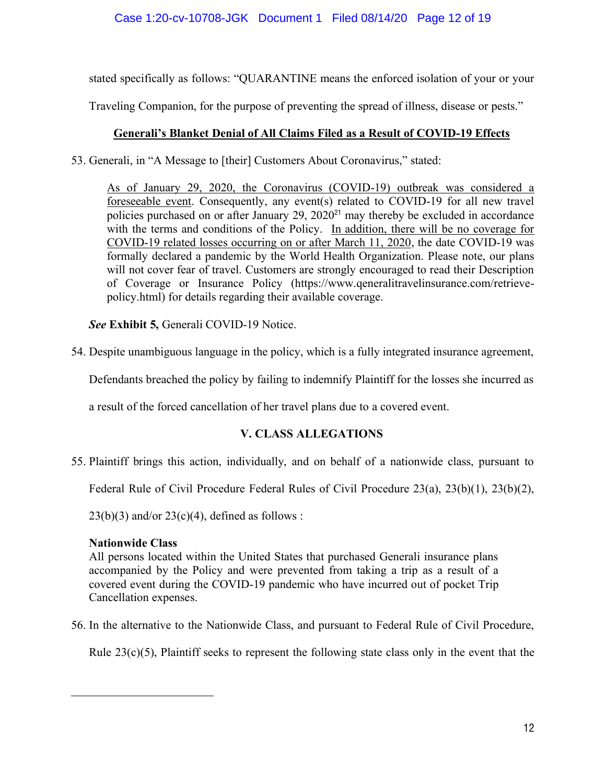stated specifically as follows: "QUARANTINE means the enforced isolation of your or your

Traveling Companion, for the purpose of preventing the spread of illness, disease or pests."

# **Generali's Blanket Denial of All Claims Filed as a Result of COVID-19 Effects**

53. Generali, in "A Message to [their] Customers About Coronavirus," stated:

As of January 29, 2020, the Coronavirus (COVID-19) outbreak was considered a foreseeable event. Consequently, any event(s) related to COVID-19 for all new travel policies purchased on or after January  $29$ ,  $2020<sup>21</sup>$  may thereby be excluded in accordance with the terms and conditions of the Policy. In addition, there will be no coverage for COVID-19 related losses occurring on or after March 11, 2020, the date COVID-19 was formally declared a pandemic by the World Health Organization. Please note, our plans will not cover fear of travel. Customers are strongly encouraged to read their Description of Coverage or Insurance Policy [\(https://www.qeneralitravelinsurance.com/retrieve](https://www.qeneralitravelinsurance.com/retrieve-)policy.html) for details regarding their available coverage.

*See* **Exhibit 5,** Generali COVID-19 Notice.

54. Despite unambiguous language in the policy, which is a fully integrated insurance agreement,

Defendants breached the policy by failing to indemnify Plaintiff for the losses she incurred as

a result of the forced cancellation of her travel plans due to a covered event.

# **V. CLASS ALLEGATIONS**

55. Plaintiff brings this action, individually, and on behalf of a nationwide class, pursuant to

Federal Rule of Civil Procedure Federal Rules of Civil Procedure 23(a), 23(b)(1), 23(b)(2),

 $23(b)(3)$  and/or  $23(c)(4)$ , defined as follows :

## **Nationwide Class**

All persons located within the United States that purchased Generali insurance plans accompanied by the Policy and were prevented from taking a trip as a result of a covered event during the COVID-19 pandemic who have incurred out of pocket Trip Cancellation expenses.

56. In the alternative to the Nationwide Class, and pursuant to Federal Rule of Civil Procedure,

Rule  $23(c)(5)$ , Plaintiff seeks to represent the following state class only in the event that the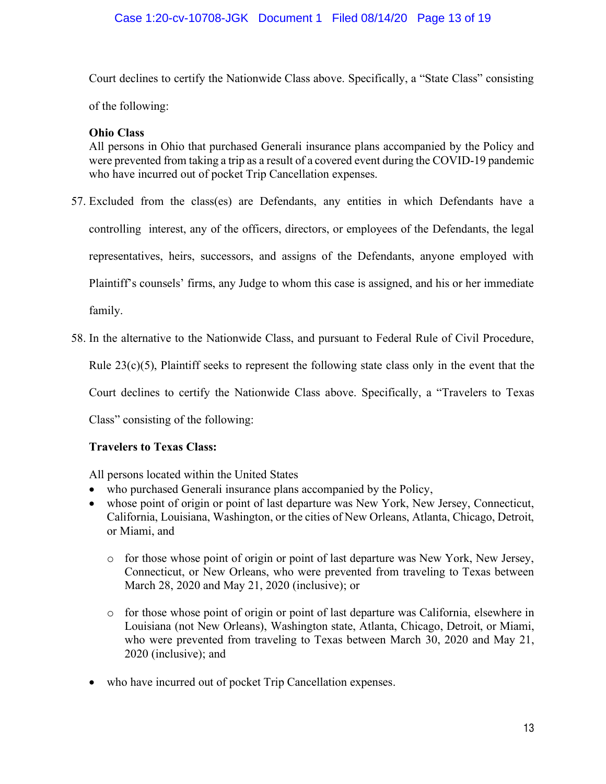Court declines to certify the Nationwide Class above. Specifically, a "State Class" consisting

of the following:

## **Ohio Class**

All persons in Ohio that purchased Generali insurance plans accompanied by the Policy and were prevented from taking a trip as a result of a covered event during the COVID-19 pandemic who have incurred out of pocket Trip Cancellation expenses.

- 57. Excluded from the class(es) are Defendants, any entities in which Defendants have a controlling interest, any of the officers, directors, or employees of the Defendants, the legal representatives, heirs, successors, and assigns of the Defendants, anyone employed with Plaintiff's counsels' firms, any Judge to whom this case is assigned, and his or her immediate family.
- 58. In the alternative to the Nationwide Class, and pursuant to Federal Rule of Civil Procedure,

Rule  $23(c)(5)$ , Plaintiff seeks to represent the following state class only in the event that the

Court declines to certify the Nationwide Class above. Specifically, a "Travelers to Texas

Class" consisting of the following:

## **Travelers to Texas Class:**

All persons located within the United States

- who purchased Generali insurance plans accompanied by the Policy,
- whose point of origin or point of last departure was New York, New Jersey, Connecticut, California, Louisiana, Washington, or the cities of New Orleans, Atlanta, Chicago, Detroit, or Miami, and
	- o for those whose point of origin or point of last departure was New York, New Jersey, Connecticut, or New Orleans, who were prevented from traveling to Texas between March 28, 2020 and May 21, 2020 (inclusive); or
	- o for those whose point of origin or point of last departure was California, elsewhere in Louisiana (not New Orleans), Washington state, Atlanta, Chicago, Detroit, or Miami, who were prevented from traveling to Texas between March 30, 2020 and May 21, 2020 (inclusive); and
- who have incurred out of pocket Trip Cancellation expenses.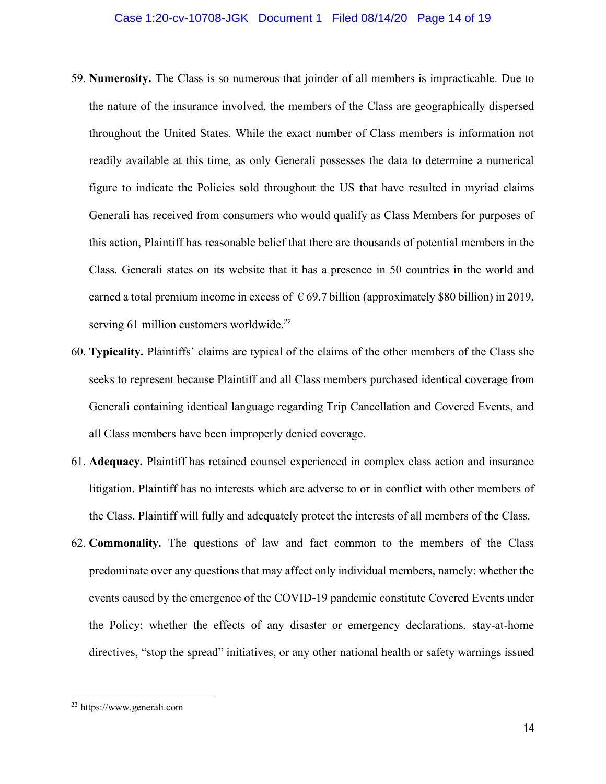- 59. **Numerosity.** The Class is so numerous that joinder of all members is impracticable. Due to the nature of the insurance involved, the members of the Class are geographically dispersed throughout the United States. While the exact number of Class members is information not readily available at this time, as only Generali possesses the data to determine a numerical figure to indicate the Policies sold throughout the US that have resulted in myriad claims Generali has received from consumers who would qualify as Class Members for purposes of this action, Plaintiff has reasonable belief that there are thousands of potential members in the Class. Generali states on its website that it has a presence in 50 countries in the world and earned a total premium income in excess of  $\epsilon$  69.7 billion (approximately \$80 billion) in 2019, serving 61 million customers worldwide.<sup>22</sup>
- 60. **Typicality.** Plaintiffs' claims are typical of the claims of the other members of the Class she seeks to represent because Plaintiff and all Class members purchased identical coverage from Generali containing identical language regarding Trip Cancellation and Covered Events, and all Class members have been improperly denied coverage.
- 61. **Adequacy.** Plaintiff has retained counsel experienced in complex class action and insurance litigation. Plaintiff has no interests which are adverse to or in conflict with other members of the Class. Plaintiff will fully and adequately protect the interests of all members of the Class.
- 62. **Commonality.** The questions of law and fact common to the members of the Class predominate over any questions that may affect only individual members, namely: whether the events caused by the emergence of the COVID-19 pandemic constitute Covered Events under the Policy; whether the effects of any disaster or emergency declarations, stay-at-home directives, "stop the spread" initiatives, or any other national health or safety warnings issued

<sup>22</sup> <https://www.generali.com>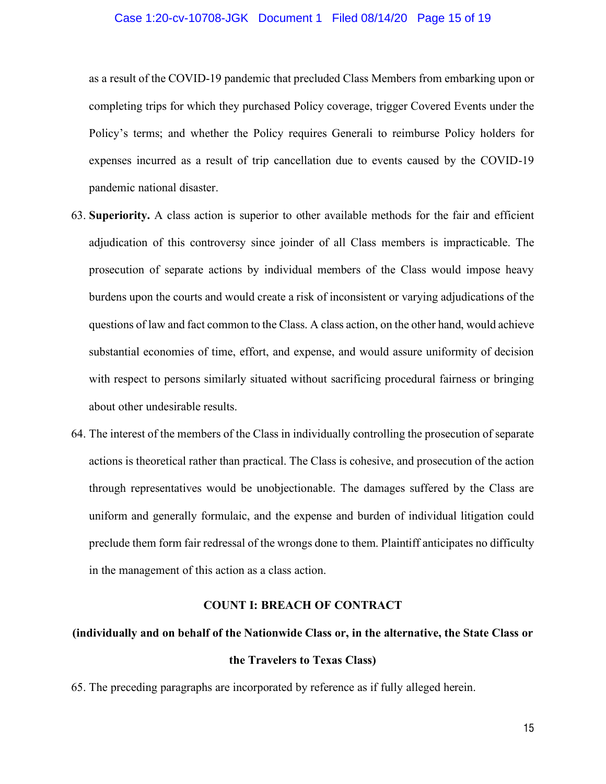as a result of the COVID-19 pandemic that precluded Class Members from embarking upon or completing trips for which they purchased Policy coverage, trigger Covered Events under the Policy's terms; and whether the Policy requires Generali to reimburse Policy holders for expenses incurred as a result of trip cancellation due to events caused by the COVID-19 pandemic national disaster.

- 63. **Superiority.** A class action is superior to other available methods for the fair and efficient adjudication of this controversy since joinder of all Class members is impracticable. The prosecution of separate actions by individual members of the Class would impose heavy burdens upon the courts and would create a risk of inconsistent or varying adjudications of the questions of law and fact common to the Class. A class action, on the other hand, would achieve substantial economies of time, effort, and expense, and would assure uniformity of decision with respect to persons similarly situated without sacrificing procedural fairness or bringing about other undesirable results.
- 64. The interest of the members of the Class in individually controlling the prosecution of separate actions is theoretical rather than practical. The Class is cohesive, and prosecution of the action through representatives would be unobjectionable. The damages suffered by the Class are uniform and generally formulaic, and the expense and burden of individual litigation could preclude them form fair redressal of the wrongs done to them. Plaintiff anticipates no difficulty in the management of this action as a class action.

#### **COUNT I: BREACH OF CONTRACT**

# **(individually and on behalf of the Nationwide Class or, in the alternative, the State Class or the Travelers to Texas Class)**

65. The preceding paragraphs are incorporated by reference as if fully alleged herein.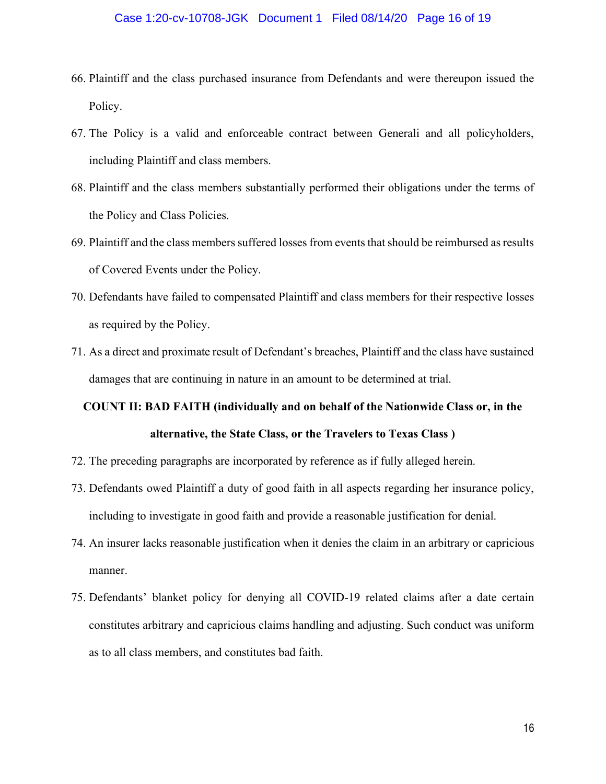- 66. Plaintiff and the class purchased insurance from Defendants and were thereupon issued the Policy.
- 67. The Policy is a valid and enforceable contract between Generali and all policyholders, including Plaintiff and class members.
- 68. Plaintiff and the class members substantially performed their obligations under the terms of the Policy and Class Policies.
- 69. Plaintiff and the class members suffered losses from events that should be reimbursed as results of Covered Events under the Policy.
- 70. Defendants have failed to compensated Plaintiff and class members for their respective losses as required by the Policy.
- 71. As a direct and proximate result of Defendant's breaches, Plaintiff and the class have sustained damages that are continuing in nature in an amount to be determined at trial.

# **COUNT II: BAD FAITH (individually and on behalf of the Nationwide Class or, in the alternative, the State Class, or the Travelers to Texas Class )**

- 72. The preceding paragraphs are incorporated by reference as if fully alleged herein.
- 73. Defendants owed Plaintiff a duty of good faith in all aspects regarding her insurance policy, including to investigate in good faith and provide a reasonable justification for denial.
- 74. An insurer lacks reasonable justification when it denies the claim in an arbitrary or capricious manner.
- 75. Defendants' blanket policy for denying all COVID-19 related claims after a date certain constitutes arbitrary and capricious claims handling and adjusting. Such conduct was uniform as to all class members, and constitutes bad faith.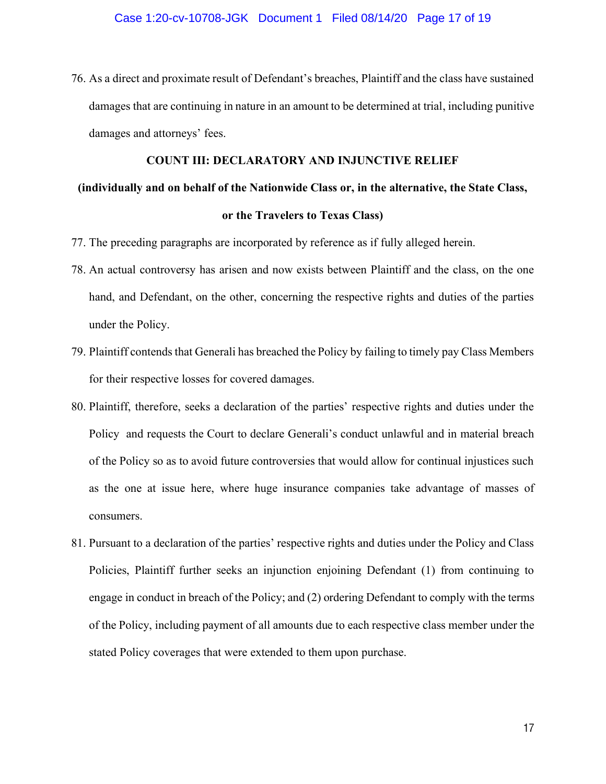76. As a direct and proximate result of Defendant's breaches, Plaintiff and the class have sustained damages that are continuing in nature in an amount to be determined at trial, including punitive damages and attorneys' fees.

## **COUNT III: DECLARATORY AND INJUNCTIVE RELIEF**

# **(individually and on behalf of the Nationwide Class or, in the alternative, the State Class, or the Travelers to Texas Class)**

- 77. The preceding paragraphs are incorporated by reference as if fully alleged herein.
- 78. An actual controversy has arisen and now exists between Plaintiff and the class, on the one hand, and Defendant, on the other, concerning the respective rights and duties of the parties under the Policy.
- 79. Plaintiff contends that Generali has breached the Policy by failing to timely pay Class Members for their respective losses for covered damages.
- 80. Plaintiff, therefore, seeks a declaration of the parties' respective rights and duties under the Policy and requests the Court to declare Generali's conduct unlawful and in material breach of the Policy so as to avoid future controversies that would allow for continual injustices such as the one at issue here, where huge insurance companies take advantage of masses of consumers.
- 81. Pursuant to a declaration of the parties' respective rights and duties under the Policy and Class Policies, Plaintiff further seeks an injunction enjoining Defendant (1) from continuing to engage in conduct in breach of the Policy; and (2) ordering Defendant to comply with the terms of the Policy, including payment of all amounts due to each respective class member under the stated Policy coverages that were extended to them upon purchase.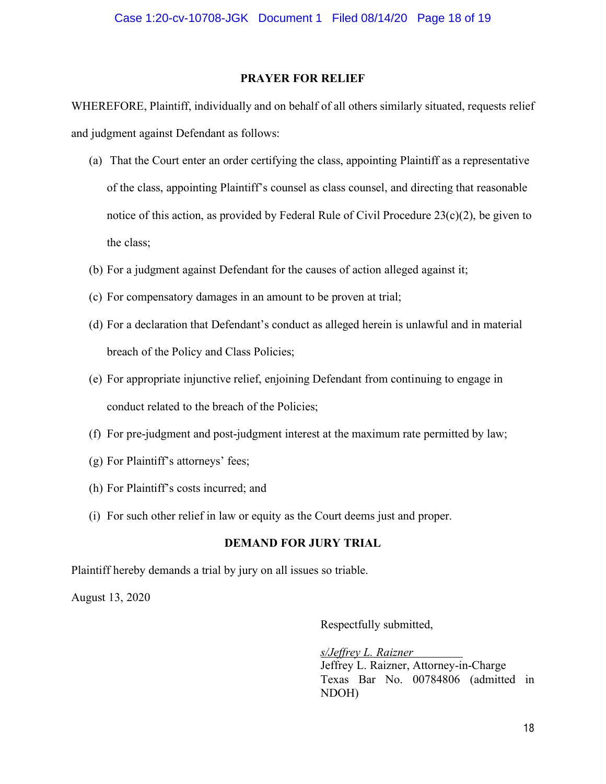## **PRAYER FOR RELIEF**

WHEREFORE, Plaintiff, individually and on behalf of all others similarly situated, requests relief and judgment against Defendant as follows:

- (a) That the Court enter an order certifying the class, appointing Plaintiff as a representative of the class, appointing Plaintiff's counsel as class counsel, and directing that reasonable notice of this action, as provided by Federal Rule of Civil Procedure 23(c)(2), be given to the class;
- (b) For a judgment against Defendant for the causes of action alleged against it;
- (c) For compensatory damages in an amount to be proven at trial;
- (d) For a declaration that Defendant's conduct as alleged herein is unlawful and in material breach of the Policy and Class Policies;
- (e) For appropriate injunctive relief, enjoining Defendant from continuing to engage in conduct related to the breach of the Policies;
- (f) For pre-judgment and post-judgment interest at the maximum rate permitted by law;
- (g) For Plaintiff's attorneys' fees;
- (h) For Plaintiff's costs incurred; and
- (i) For such other relief in law or equity as the Court deems just and proper.

## **DEMAND FOR JURY TRIAL**

Plaintiff hereby demands a trial by jury on all issues so triable.

August 13, 2020

Respectfully submitted,

*s/Jeffrey L. Raizner* Jeffrey L. Raizner, Attorney-in-Charge Texas Bar No. 00784806 (admitted in NDOH)